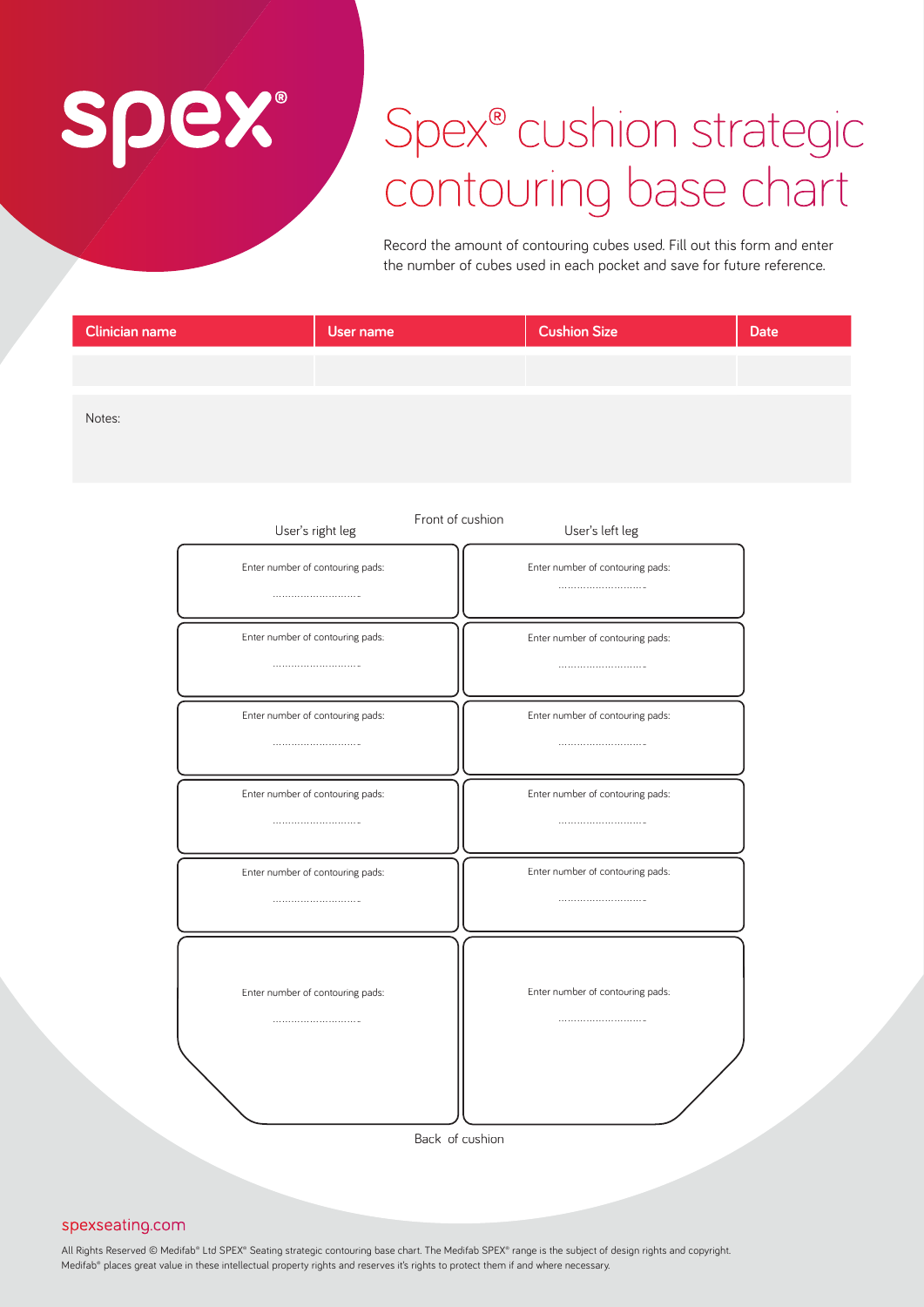# spex®

## Spex<sup>®</sup> cushion strategic contouring base chart

Record the amount of contouring cubes used. Fill out this form and enter the number of cubes used in each pocket and save for future reference.

| Clinician name | User name | <b>Cushion Size</b> | <b>Date</b> |
|----------------|-----------|---------------------|-------------|
|                |           |                     |             |
| Notes:         |           |                     |             |
|                |           |                     |             |

| User's right leg                 | Front of cushion<br>User's left leg |
|----------------------------------|-------------------------------------|
| Enter number of contouring pads: | Enter number of contouring pads:    |
|                                  |                                     |
| Enter number of contouring pads: | Enter number of contouring pads:    |
|                                  |                                     |
| Enter number of contouring pads: | Enter number of contouring pads:    |
|                                  |                                     |
| Enter number of contouring pads: | Enter number of contouring pads:    |
|                                  |                                     |
| Enter number of contouring pads: | Enter number of contouring pads:    |
|                                  |                                     |
|                                  |                                     |
| Enter number of contouring pads: | Enter number of contouring pads:    |
|                                  |                                     |
|                                  |                                     |
|                                  |                                     |
|                                  | Back of cushion                     |

### spexseating.com

All Rights Reserved © Medifab® Ltd SPEX® Seating strategic contouring base chart. The Medifab SPEX® range is the subject of design rights and copyright. Medifab® places great value in these intellectual property rights and reserves it's rights to protect them if and where necessary.